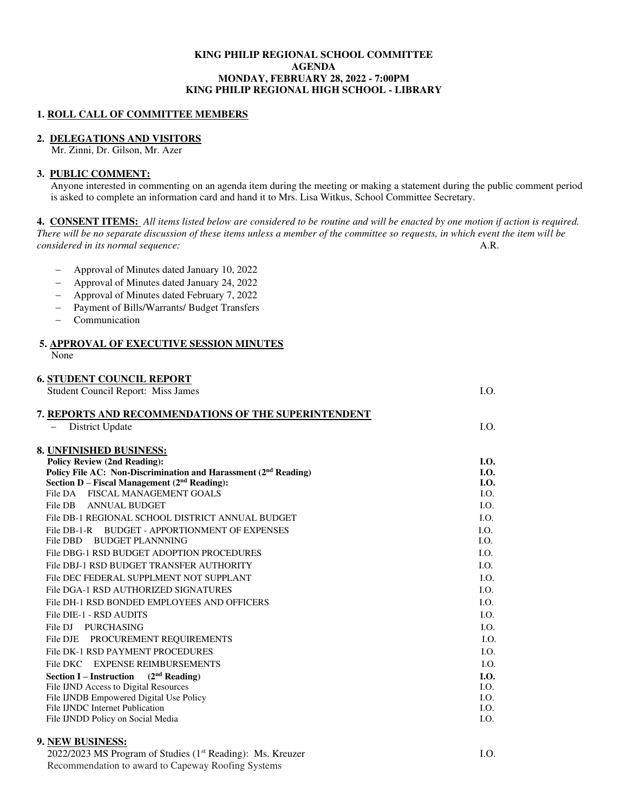### **KING PHILIP REGIONAL SCHOOL COMMITTEE AGENDA MONDAY, FEBRUARY 28, 2022 - 7:00PM KING PHILIP REGIONAL HIGH SCHOOL - LIBRARY**

### **1. ROLL CALL OF COMMITTEE MEMBERS**

− Approval of Minutes dated January 10, 2022 − Approval of Minutes dated January 24, 2022 − Approval of Minutes dated February 7, 2022 − Payment of Bills/Warrants/ Budget Transfers

### **2. DELEGATIONS AND VISITORS**

Mr. Zinni, Dr. Gilson, Mr. Azer

# **3. PUBLIC COMMENT:**

− Communication

Anyone interested in commenting on an agenda item during the meeting or making a statement during the public comment period is asked to complete an information card and hand it to Mrs. Lisa Witkus, School Committee Secretary.

**4. CONSENT ITEMS:** *All items listed below are considered to be routine and will be enacted by one motion if action is required. There will be no separate discussion of these items unless a member of the committee so requests, in which event the item will be considered in its normal sequence:* A.R.

| <b>5. APPROVAL OF EXECUTIVE SESSION MINUTES</b><br>None                     |             |
|-----------------------------------------------------------------------------|-------------|
| <b>6. STUDENT COUNCIL REPORT</b>                                            |             |
| <b>Student Council Report: Miss James</b>                                   | LO.         |
| 7. REPORTS AND RECOMMENDATIONS OF THE SUPERINTENDENT                        |             |
| District Update                                                             | LO.         |
| 8. UNFINISHED BUSINESS:                                                     |             |
| <b>Policy Review (2nd Reading):</b>                                         | <b>I.O.</b> |
| Policy File AC: Non-Discrimination and Harassment (2 <sup>nd</sup> Reading) | <b>I.O.</b> |
| Section D - Fiscal Management (2 <sup>nd</sup> Reading):                    | I.O.        |
| <b>FISCAL MANAGEMENT GOALS</b><br>File DA                                   | I.O.        |
| File DB<br>ANNUAL BUDGET                                                    | LO.         |
| File DB-1 REGIONAL SCHOOL DISTRICT ANNUAL BUDGET                            | LO.         |
| <b>BUDGET - APPORTIONMENT OF EXPENSES</b><br>File DB-1-R                    | LO.         |
| File DBD<br>BUDGET PLANNNING                                                | I.O.        |
| File DBG-1 RSD BUDGET ADOPTION PROCEDURES                                   | LO.         |
| File DBJ-1 RSD BUDGET TRANSFER AUTHORITY                                    | I.O.        |
| File DEC FEDERAL SUPPLMENT NOT SUPPLANT                                     | I.O.        |
| File DGA-1 RSD AUTHORIZED SIGNATURES                                        | I.O.        |
| File DH-1 RSD BONDED EMPLOYEES AND OFFICERS                                 | LO.         |
| File DIE-1 - RSD AUDITS                                                     | LO.         |
| File DJ PURCHASING                                                          | I.O.        |
| File DJE PROCUREMENT REQUIREMENTS                                           | I.O.        |
| File DK-1 RSD PAYMENT PROCEDURES                                            | I.O.        |
| File DKC EXPENSE REIMBURSEMENTS                                             | I.O.        |
| <b>Section I</b> – Instruction ( $2nd$ Reading)                             | LO.         |
| File IJND Access to Digital Resources                                       | I.O.        |
| File IJNDB Empowered Digital Use Policy                                     | I.O.        |
| File IJNDC Internet Publication                                             | I.O.        |
| File IJNDD Policy on Social Media<br><b>MUNITED</b> INTO THE CO.            | I.O.        |

### **9. NEW BUSINESS:**

 $2022/2023$  MS Program of Studies ( $1<sup>st</sup>$  Reading): Ms. Kreuzer I.O. Recommendation to award to Capeway Roofing Systems